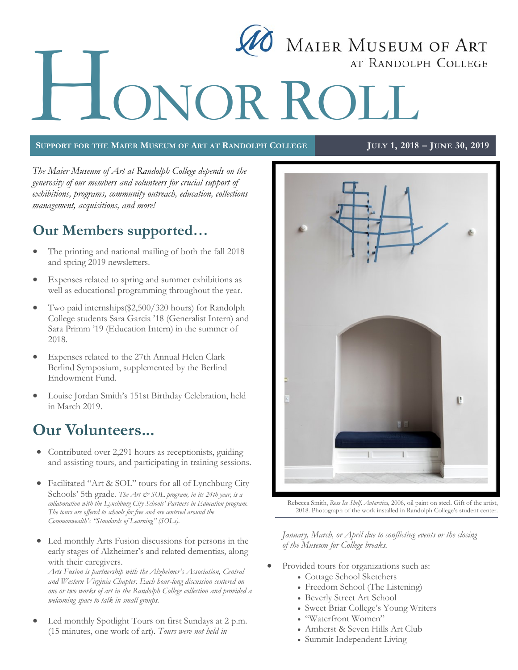# MAIER MUSEUM OF ART H AT RANDOLPH COLLEGE ONOR ROLL

#### SUPPORT FOR THE MAIER MUSEUM OF ART AT RANDOLPH COLLEGE JULY 1, 2018 - JUNE 30, 2019

*The Maier Museum of Art at Randolph College depends on the generosity of our members and volunteers for crucial support of exhibitions, programs, community outreach, education, collections management, acquisitions, and more!*

## **Our Members supported…**

- The printing and national mailing of both the fall 2018 and spring 2019 newsletters.
- Expenses related to spring and summer exhibitions as well as educational programming throughout the year.
- Two paid internships(\$2,500/320 hours) for Randolph College students Sara Garcia '18 (Generalist Intern) and Sara Primm '19 (Education Intern) in the summer of 2018.
- Expenses related to the 27th Annual Helen Clark Berlind Symposium, supplemented by the Berlind Endowment Fund.
- Louise Jordan Smith's 151st Birthday Celebration, held in March 2019.

## **Our Volunteers...**

- Contributed over 2,291 hours as receptionists, guiding and assisting tours, and participating in training sessions.
- Facilitated "Art & SOL" tours for all of Lynchburg City Schools' 5th grade. *The Art & SOL program, in its 24th year, is a collaboration with the Lynchburg City Schools' Partners in Education program. The tours are offered to schools for free and are centered around the Commonwealth's "Standards of Learning" (SOLs).*
- Led monthly Arts Fusion discussions for persons in the early stages of Alzheimer's and related dementias, along with their caregivers.

*Arts Fusion is partnership with the Alzheimer's Association, Central and Western Virginia Chapter. Each hour-long discussion centered on one or two works of art in the Randolph College collection and provided a welcoming space to talk in small groups.* 

 Led monthly Spotlight Tours on first Sundays at 2 p.m. (15 minutes, one work of art). *Tours were not held in* 



Rebecca Smith, *Ross Ice Shelf, Antarctica,* 2006, oil paint on steel. Gift of the artist, 2018. Photograph of the work installed in Randolph College's student center.

*January, March, or April due to conflicting events or the closing of the Museum for College breaks.*

- Provided tours for organizations such as:
	- Cottage School Sketchers
	- Freedom School (The Listening)
	- Beverly Street Art School
	- Sweet Briar College's Young Writers
	- "Waterfront Women"
	- Amherst & Seven Hills Art Club
	- Summit Independent Living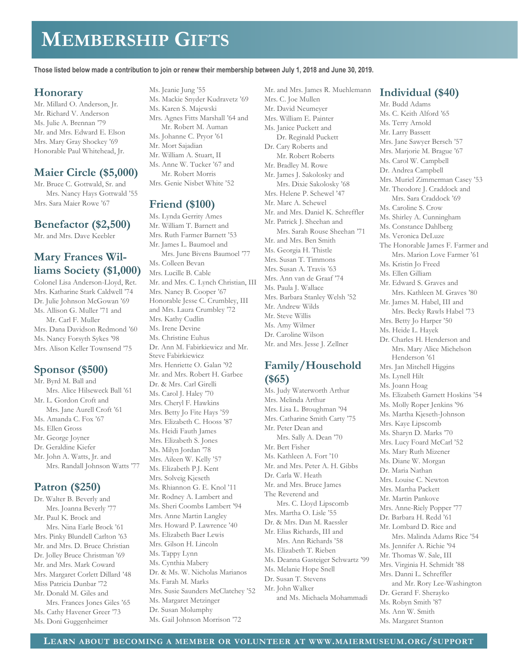## **MEMBERSHIP GIFTS**

#### **Those listed below made a contribution to join or renew their membership between July 1, 2018 and June 30, 2019.**

## **Honorary**

Mr. Millard O. Anderson, Jr. Mr. Richard V. Anderson Ms. Julie A. Brennan '79 Mr. and Mrs. Edward E. Elson Mrs. Mary Gray Shockey '69 Honorable Paul Whitehead, Jr.

## **Maier Circle (\$5,000)**

Mr. Bruce C. Gottwald, Sr. and Mrs. Nancy Hays Gottwald '55 Mrs. Sara Maier Rowe '67

### **Benefactor (\$2,500)**

Mr. and Mrs. Dave Keebler

## **Mary Frances Williams Society (\$1,000)**

Colonel Lisa Anderson-Lloyd, Ret. Mrs. Katharine Stark Caldwell '74 Dr. Julie Johnson McGowan '69 Ms. Allison G. Muller '71 and Mr. Carl F. Muller Mrs. Dana Davidson Redmond '60 Ms. Nancy Forsyth Sykes '98 Mrs. Alison Keller Townsend '75

## **Sponsor (\$500)**

Mr. Byrd M. Ball and Mrs. Alice Hilseweck Ball '61 Mr. L. Gordon Croft and Mrs. Jane Aurell Croft '61 Ms. Amanda C. Fox '67 Ms. Ellen Gross Mr. George Joyner Dr. Geraldine Kiefer Mr. John A. Watts, Jr. and Mrs. Randall Johnson Watts '77

## **Patron (\$250)**

Dr. Walter B. Beverly and Mrs. Joanna Beverly '77 Mr. Paul K. Brock and Mrs. Nina Earle Brock '61 Mrs. Pinky Blundell Carlton '63 Mr. and Mrs. D. Bruce Christian Dr. Jolley Bruce Christman '69 Mr. and Mrs. Mark Coward Mrs. Margaret Corlett Dillard '48 Miss Patricia Dunbar '72 Mr. Donald M. Giles and Mrs. Frances Jones Giles '65

Ms. Cathy Havener Greer '73 Ms. Doni Guggenheimer

Ms. Jeanie Jung '55 Ms. Mackie Snyder Kudravetz '69 Ms. Karen S. Majewski Mrs. Agnes Fitts Marshall '64 and Mr. Robert M. Auman Ms. Johanne C. Pryor '61 Mr. Mort Sajadian Mr. William A. Stuart, II Ms. Anne W. Tucker '67 and Mr. Robert Morris Mrs. Genie Nisbet White '52

## **Friend (\$100)**

Ms. Lynda Gerrity Ames Mr. William T. Barnett and Mrs. Ruth Farmer Barnett '53 Mr. James L. Baumoel and Mrs. June Bivens Baumoel '77 Ms. Colleen Bevan Mrs. Lucille B. Cable Mr. and Mrs. C. Lynch Christian, III Mrs. Nancy B. Cooper '67 Honorable Jesse C. Crumbley, III and Mrs. Laura Crumbley '72 Mrs. Kathy Cudlin Ms. Irene Devine Ms. Christine Euhus Dr. Ann M. Fabirkiewicz and Mr. Steve Fabirkiewicz Mrs. Henriette O. Galan '92 Mr. and Mrs. Robert H. Garbee Dr. & Mrs. Carl Girelli Ms. Carol J. Haley '70 Mrs. Cheryl F. Hawkins Mrs. Betty Jo Fite Hays '59 Mrs. Elizabeth C. Hooss '87 Ms. Heidi Fauth James Mrs. Elizabeth S. Jones Ms. Milyn Jordan '78 Mrs. Aileen W. Kelly '57 Ms. Elizabeth P.J. Kent Mrs. Solveig Kjeseth Ms. Rhiannon G. E. Knol '11 Mr. Rodney A. Lambert and Ms. Sheri Coombs Lambert '94 Mrs. Anne Martin Langley Mrs. Howard P. Lawrence '40 Ms. Elizabeth Baer Lewis Mrs. Gilson H. Lincoln Ms. Tappy Lynn Ms. Cynthia Mabery Dr. & Ms. W. Nicholas Marianos Ms. Farah M. Marks Mrs. Susie Saunders McClatchey '52 Ms. Margaret Metzinger Dr. Susan Molumphy Ms. Gail Johnson Morrison '72

Mr. and Mrs. James R. Muehlemann Mrs. C. Joe Mullen Mr. David Neumeyer Mrs. William E. Painter Ms. Janice Puckett and Dr. Reginald Puckett Dr. Cary Roberts and Mr. Robert Roberts Mr. Bradley M. Rowe Mr. James J. Sakolosky and Mrs. Dixie Sakolosky '68 Mrs. Helene P. Schewel '47 Mr. Marc A. Schewel Mr. and Mrs. Daniel K. Schreffler Mr. Patrick J. Sheehan and Mrs. Sarah Rouse Sheehan '71 Mr. and Mrs. Ben Smith Ms. Georgia H. Thistle Mrs. Susan T. Timmons Mrs. Susan A. Travis '63 Mrs. Ann van de Graaf '74 Ms. Paula J. Wallace Mrs. Barbara Stanley Welsh '52 Mr. Andrew Wilds Mr. Steve Willis Ms. Amy Wilmer Dr. Caroline Wilson

## **Family/Household (\$65)**

Mr. and Mrs. Jesse J. Zellner

Ms. Judy Waterworth Arthur Mrs. Melinda Arthur Mrs. Lisa L. Broughman '94 Mrs. Catharine Smith Carty '75 Mr. Peter Dean and Mrs. Sally A. Dean '70 Mr. Bert Fisher Ms. Kathleen A. Fort '10 Mr. and Mrs. Peter A. H. Gibbs Dr. Carla W. Heath Mr. and Mrs. Bruce James The Reverend and Mrs. C. Lloyd Lipscomb Mrs. Martha O. Lisle '55 Dr. & Mrs. Dan M. Raessler Mr. Elias Richards, III and Mrs. Ann Richards '58 Ms. Elizabeth T. Rieben Ms. Deanna Gasteiger Schwartz '99 Ms. Melanie Hope Snell Dr. Susan T. Stevens Mr. John Walker and Ms. Michaela Mohammadi

## **Individual (\$40)**

Mr. Budd Adams Ms. C. Keith Alford '65 Ms. Terry Arnold Mr. Larry Bassett Mrs. Jane Sawyer Bersch '57 Mrs. Marjorie M. Brague '67 Ms. Carol W. Campbell Dr. Andrea Campbell Mrs. Muriel Zimmerman Casey '53 Mr. Theodore J. Craddock and Mrs. Sara Craddock '69 Ms. Caroline S. Crow Ms. Shirley A. Cunningham Ms. Constance Dahlberg Ms. Veronica DeLuze The Honorable James F. Farmer and Mrs. Marion Love Farmer '61 Ms. Kristin Jo Freed Ms. Ellen Gilliam Mr. Edward S. Graves and Mrs. Kathleen M. Graves '80 Mr. James M. Habel, III and Mrs. Becky Rawls Habel '73 Mrs. Betty Jo Harper '50 Ms. Heide L. Hayek Dr. Charles H. Henderson and Mrs. Mary Alice Michelson Henderson '61 Mrs. Jan Mitchell Higgins Ms. Lynell Hilt Ms. Joann Hoag Ms. Elizabeth Garnett Hoskins '54 Ms. Molly Roper Jenkins '96 Ms. Martha Kjeseth-Johnson Mrs. Kaye Lipscomb Ms. Sharyn D. Marks '70 Mrs. Lucy Foard McCarl '52 Ms. Mary Ruth Mizener Ms. Diane W. Morgan Dr. Maria Nathan Mrs. Louise C. Newton Mrs. Martha Packett Mr. Martin Pankove Mrs. Anne-Riely Popper '77 Dr. Barbara H. Redd '61 Mr. Lombard D. Rice and Mrs. Malinda Adams Rice '54 Ms. Jennifer A. Richie '94 Mr. Thomas W. Sale, III Mrs. Virginia H. Schmidt '88 Mrs. Danni L. Schreffler and Mr. Rory Lee-Washington Dr. Gerard F. Sherayko Ms. Robyn Smith '87 Ms. Ann W. Smith Ms. Margaret Stanton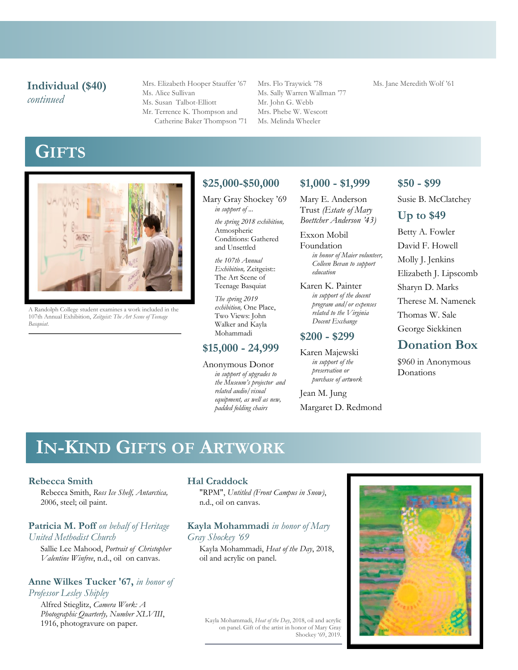## **Individual (\$40)** *continued*

Mrs. Elizabeth Hooper Stauffer '67 Ms. Alice Sullivan Ms. Susan Talbot-Elliott Mr. Terrence K. Thompson and Catherine Baker Thompson '71 Mrs. Flo Traywick '78 Ms. Sally Warren Wallman '77 Mr. John G. Webb Mrs. Phebe W. Wescott Ms. Melinda Wheeler

#### Ms. Jane Meredith Wolf '61

**GIFTS**



A Randolph College student examines a work included in the 107th Annual Exhibition, *Zeitgeist: The Art Scene of Teenage Basquiat*.

## **\$25,000-\$50,000**

Mary Gray Shockey '69 *in support of ...*

> *the spring 2018 exhibition,*  Atmospheric Conditions: Gathered and Unsettled

*the 107th Annual Exhibition,* Zeitgeist:: The Art Scene of Teenage Basquiat

*The spring 2019 exhibition,* One Place, Two Views: John Walker and Kayla Mohammadi

### **\$15,000 - 24,999**

Anonymous Donor *in support of upgrades to the Museum's projector and related audio/visual equipment, as well as new, padded folding chairs*

**\$1,000 - \$1,999**

Mary E. Anderson Trust *(Estate of Mary Boettcher Anderson '43)*

Exxon Mobil Foundation *in honor of Maier volunteer, Colleen Bevan to support education* 

Karen K. Painter *in support of the docent program and/or expenses related to the Virginia Docent Exchange*

## **\$200 - \$299**

Karen Majewski *in support of the preservation or purchase of artwork*

Jean M. Jung Margaret D. Redmond

### **\$50 - \$99**

Susie B. McClatchey

### **Up to \$49**

Betty A. Fowler David F. Howell Molly J. Jenkins Elizabeth J. Lipscomb Sharyn D. Marks Therese M. Namenek Thomas W. Sale George Siekkinen

## **Donation Box**

\$960 in Anonymous Donations

## **IN-KIND GIFTS OF ARTWORK**

#### **Rebecca Smith**

Rebecca Smith, *Ross Ice Shelf, Antarctica,*  2006, steel; oil paint.

#### **Patricia M. Poff** *on behalf of Heritage United Methodist Church*

Sallie Lee Mahood, *Portrait of Christopher Valentine Winfree*, n.d., oil on canvas.

#### **Anne Wilkes Tucker '67,** *in honor of Professor Lesley Shipley*

Alfred Stieglitz, *Camera Work: A Photographic Quarterly, Number XLVIII*, 1916, photogravure on paper.

#### **Hal Craddock**

"RPM", *Untitled (Front Campus in Snow)*, n.d., oil on canvas.

#### **Kayla Mohammadi** *in honor of Mary Gray Shockey '69*

Kayla Mohammadi, *Heat of the Day*, 2018, oil and acrylic on panel.

Kayla Mohammadi, *Heat of the Day*, 2018, oil and acrylic on panel. Gift of the artist in honor of Mary Gray Shockey '69, 2019.